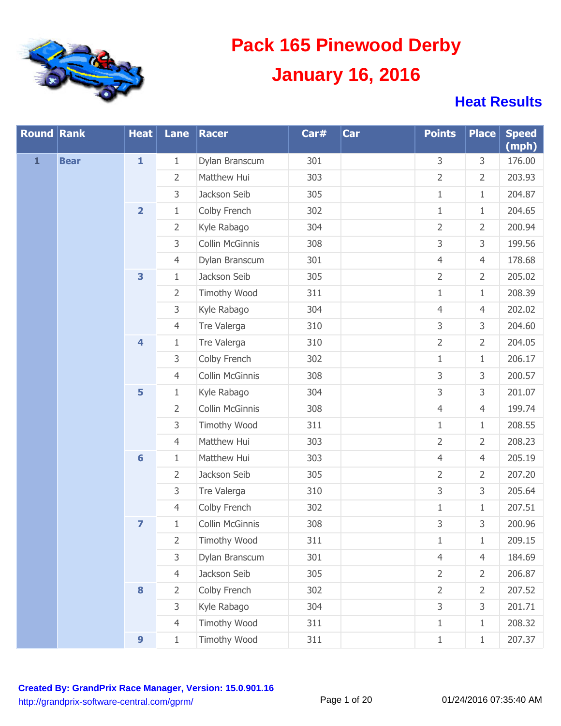

| <b>Round Rank</b> |             | <b>Heat</b>             | Lane           | Racer               | Car# | Car | <b>Points</b>  | <b>Place</b>   | <b>Speed</b><br>(mph) |
|-------------------|-------------|-------------------------|----------------|---------------------|------|-----|----------------|----------------|-----------------------|
| $\mathbf{1}$      | <b>Bear</b> | $\mathbf{1}$            | $\mathbf{1}$   | Dylan Branscum      | 301  |     | 3              | 3              | 176.00                |
|                   |             |                         | $\overline{2}$ | Matthew Hui         | 303  |     | 2              | $\overline{2}$ | 203.93                |
|                   |             |                         | 3              | Jackson Seib        | 305  |     | $\mathbf{1}$   | $\mathbf{1}$   | 204.87                |
|                   |             | $\overline{\mathbf{2}}$ | $\,1\,$        | Colby French        | 302  |     | $\mathbf{1}$   | $\mathbf{1}$   | 204.65                |
|                   |             |                         | $\overline{2}$ | Kyle Rabago         | 304  |     | $\overline{2}$ | $\overline{2}$ | 200.94                |
|                   |             |                         | 3              | Collin McGinnis     | 308  |     | 3              | 3              | 199.56                |
|                   |             |                         | $\overline{4}$ | Dylan Branscum      | 301  |     | $\overline{4}$ | $\overline{4}$ | 178.68                |
|                   |             | 3                       | $\,1\,$        | Jackson Seib        | 305  |     | $\overline{2}$ | $\overline{2}$ | 205.02                |
|                   |             |                         | $\overline{2}$ | <b>Timothy Wood</b> | 311  |     | $\mathbf{1}$   | $\mathbf{1}$   | 208.39                |
|                   |             |                         | 3              | Kyle Rabago         | 304  |     | $\overline{4}$ | $\overline{4}$ | 202.02                |
|                   |             |                         | $\overline{4}$ | Tre Valerga         | 310  |     | 3              | 3              | 204.60                |
|                   |             | $\overline{\mathbf{4}}$ | $1\,$          | Tre Valerga         | 310  |     | $\overline{2}$ | $\overline{2}$ | 204.05                |
|                   |             |                         | 3              | Colby French        | 302  |     | $\mathbf{1}$   | $\mathbf{1}$   | 206.17                |
|                   |             |                         | $\overline{4}$ | Collin McGinnis     | 308  |     | 3              | 3              | 200.57                |
|                   |             | 5                       | $1\,$          | Kyle Rabago         | 304  |     | 3              | 3              | 201.07                |
|                   |             |                         | $\overline{2}$ | Collin McGinnis     | 308  |     | $\overline{4}$ | $\overline{4}$ | 199.74                |
|                   |             |                         | 3              | <b>Timothy Wood</b> | 311  |     | $\mathbf{1}$   | $\mathbf{1}$   | 208.55                |
|                   |             |                         | $\overline{4}$ | Matthew Hui         | 303  |     | $\overline{2}$ | $\overline{2}$ | 208.23                |
|                   |             | $6\phantom{1}6$         | $\,1\,$        | Matthew Hui         | 303  |     | $\overline{4}$ | $\overline{4}$ | 205.19                |
|                   |             |                         | $\overline{2}$ | Jackson Seib        | 305  |     | $\overline{2}$ | $\overline{2}$ | 207.20                |
|                   |             |                         | 3              | Tre Valerga         | 310  |     | 3              | 3              | 205.64                |
|                   |             |                         | $\overline{4}$ | Colby French        | 302  |     | $\mathbf{1}$   | $\mathbf{1}$   | 207.51                |
|                   |             | $\overline{\mathbf{z}}$ | $1\,$          | Collin McGinnis     | 308  |     | 3              | 3              | 200.96                |
|                   |             |                         | 2              | <b>Timothy Wood</b> | 311  |     | 1              | 1              | 209.15                |
|                   |             |                         | 3              | Dylan Branscum      | 301  |     | $\overline{4}$ | $\overline{4}$ | 184.69                |
|                   |             |                         | $\overline{4}$ | Jackson Seib        | 305  |     | $\overline{2}$ | $\overline{2}$ | 206.87                |
|                   |             | $\bf{8}$                | $\overline{2}$ | Colby French        | 302  |     | $\overline{2}$ | $\overline{2}$ | 207.52                |
|                   |             |                         | 3              | Kyle Rabago         | 304  |     | 3              | 3              | 201.71                |
|                   |             |                         | $\overline{4}$ | <b>Timothy Wood</b> | 311  |     | $\mathbf{1}$   | $\mathbf{1}$   | 208.32                |
|                   |             | $\boldsymbol{9}$        | $1\,$          | Timothy Wood        | 311  |     | $1\,$          | $\mathbf{1}$   | 207.37                |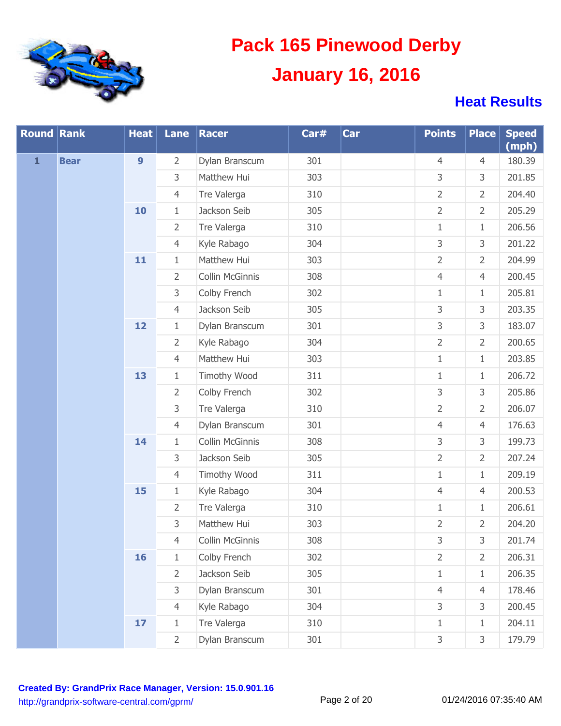

| <b>Round Rank</b> |             | <b>Heat</b>      | Lane           | Racer           | Car# | Car | <b>Points</b>  | <b>Place</b>   | <b>Speed</b><br>(mph) |
|-------------------|-------------|------------------|----------------|-----------------|------|-----|----------------|----------------|-----------------------|
| $\mathbf{1}$      | <b>Bear</b> | $\boldsymbol{9}$ | $\overline{2}$ | Dylan Branscum  | 301  |     | $\overline{4}$ | $\overline{4}$ | 180.39                |
|                   |             |                  | 3              | Matthew Hui     | 303  |     | 3              | 3              | 201.85                |
|                   |             |                  | $\overline{4}$ | Tre Valerga     | 310  |     | $\overline{2}$ | $\overline{2}$ | 204.40                |
|                   |             | 10               | $\mathbf{1}$   | Jackson Seib    | 305  |     | $\overline{2}$ | $\overline{2}$ | 205.29                |
|                   |             |                  | $\overline{2}$ | Tre Valerga     | 310  |     | $1\,$          | $1\,$          | 206.56                |
|                   |             |                  | $\overline{4}$ | Kyle Rabago     | 304  |     | 3              | 3              | 201.22                |
|                   |             | 11               | $\mathbf{1}$   | Matthew Hui     | 303  |     | $\overline{2}$ | $\overline{2}$ | 204.99                |
|                   |             |                  | $\overline{2}$ | Collin McGinnis | 308  |     | $\overline{4}$ | $\overline{4}$ | 200.45                |
|                   |             |                  | 3              | Colby French    | 302  |     | $\mathbf{1}$   | $1\,$          | 205.81                |
|                   |             |                  | 4              | Jackson Seib    | 305  |     | 3              | 3              | 203.35                |
|                   |             | 12               | $\mathbf{1}$   | Dylan Branscum  | 301  |     | 3              | 3              | 183.07                |
|                   |             |                  | $\overline{2}$ | Kyle Rabago     | 304  |     | $\overline{2}$ | $\overline{2}$ | 200.65                |
|                   |             |                  | $\overline{4}$ | Matthew Hui     | 303  |     | $1\,$          | $1\,$          | 203.85                |
|                   |             | 13               | $\mathbf{1}$   | Timothy Wood    | 311  |     | $1\,$          | $1\,$          | 206.72                |
|                   |             |                  | $\overline{2}$ | Colby French    | 302  |     | 3              | 3              | 205.86                |
|                   |             |                  | 3              | Tre Valerga     | 310  |     | $\overline{2}$ | $\overline{2}$ | 206.07                |
|                   |             |                  | $\overline{4}$ | Dylan Branscum  | 301  |     | $\overline{4}$ | $\overline{4}$ | 176.63                |
|                   |             | 14               | $\mathbf{1}$   | Collin McGinnis | 308  |     | 3              | 3              | 199.73                |
|                   |             |                  | 3              | Jackson Seib    | 305  |     | $\overline{2}$ | $\overline{2}$ | 207.24                |
|                   |             |                  | $\overline{4}$ | Timothy Wood    | 311  |     | $1\,$          | $1\,$          | 209.19                |
|                   |             | 15               | $\mathbf{1}$   | Kyle Rabago     | 304  |     | $\overline{4}$ | $\overline{4}$ | 200.53                |
|                   |             |                  | $\overline{2}$ | Tre Valerga     | 310  |     | $1\,$          | $1\,$          | 206.61                |
|                   |             |                  | 3              | Matthew Hui     | 303  |     | $\overline{2}$ | $\overline{2}$ | 204.20                |
|                   |             |                  | 4              | Collin McGinnis | 308  |     | 3              | 3              | 201.74                |
|                   |             | 16               | $\mathbf{1}$   | Colby French    | 302  |     | $\overline{2}$ | $\overline{2}$ | 206.31                |
|                   |             |                  | $\overline{2}$ | Jackson Seib    | 305  |     | $\mathbf{1}$   | $\mathbf{1}$   | 206.35                |
|                   |             |                  | 3              | Dylan Branscum  | 301  |     | 4              | $\overline{4}$ | 178.46                |
|                   |             |                  | $\overline{4}$ | Kyle Rabago     | 304  |     | 3              | 3              | 200.45                |
|                   |             | 17               | $\mathbf{1}$   | Tre Valerga     | 310  |     | $\mathbf{1}$   | $1\,$          | 204.11                |
|                   |             | $\overline{2}$   | Dylan Branscum | 301             |      | 3   | 3              | 179.79         |                       |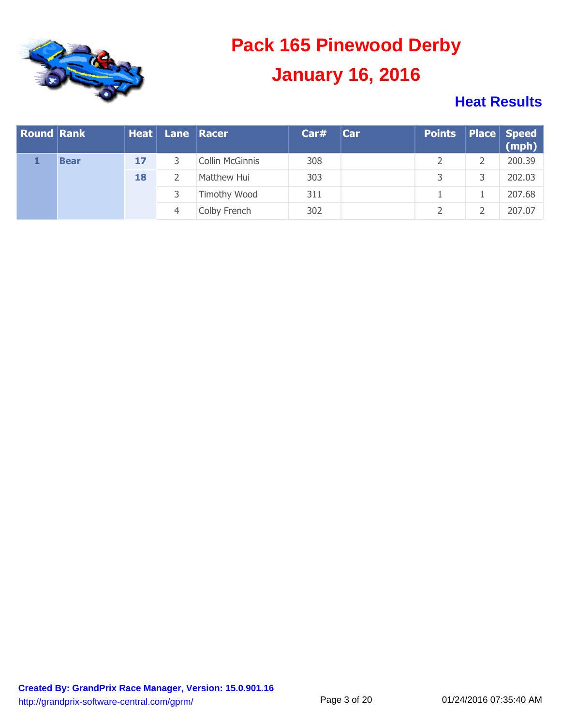

| <b>Round Rank</b> |             |    | <b>Heat Lane Racer</b> |                 | Car#                | Car | Points Place Speed<br>(mph) |        |
|-------------------|-------------|----|------------------------|-----------------|---------------------|-----|-----------------------------|--------|
|                   | <b>Bear</b> | 17 | 3                      | Collin McGinnis | 308                 |     |                             | 200.39 |
|                   |             | 18 |                        | Matthew Hui     | 303                 |     |                             | 202.03 |
|                   |             |    |                        |                 | <b>Timothy Wood</b> | 311 |                             |        |
|                   |             |    | 4                      | Colby French    | 302                 |     |                             | 207.07 |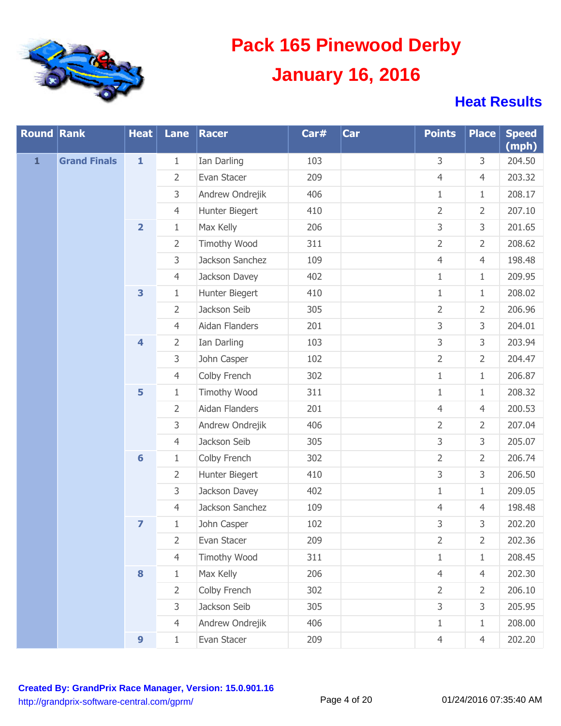

| <b>Round Rank</b> |                     | <b>Heat</b>             | Lane           | Racer               | Car# | Car | <b>Points</b>  | <b>Place</b>   | <b>Speed</b><br>(mph) |
|-------------------|---------------------|-------------------------|----------------|---------------------|------|-----|----------------|----------------|-----------------------|
| $\mathbf{1}$      | <b>Grand Finals</b> | $\mathbf{1}$            | $\mathbf 1$    | Ian Darling         | 103  |     | 3              | 3              | 204.50                |
|                   |                     |                         | $\overline{2}$ | Evan Stacer         | 209  |     | $\overline{4}$ | $\overline{4}$ | 203.32                |
|                   |                     |                         | 3              | Andrew Ondrejik     | 406  |     | $\mathbf{1}$   | $\mathbf{1}$   | 208.17                |
|                   |                     |                         | $\overline{4}$ | Hunter Biegert      | 410  |     | $\overline{2}$ | $\overline{2}$ | 207.10                |
|                   |                     | $\overline{\mathbf{2}}$ | $\mathbf{1}$   | Max Kelly           | 206  |     | 3              | 3              | 201.65                |
|                   |                     |                         | $\overline{2}$ | Timothy Wood        | 311  |     | $\overline{2}$ | $\overline{2}$ | 208.62                |
|                   |                     |                         | 3              | Jackson Sanchez     | 109  |     | $\overline{4}$ | $\overline{4}$ | 198.48                |
|                   |                     |                         | $\overline{4}$ | Jackson Davey       | 402  |     | $\mathbf{1}$   | $\mathbf{1}$   | 209.95                |
|                   |                     | 3                       | $\mathbf{1}$   | Hunter Biegert      | 410  |     | $\mathbf{1}$   | $\mathbf{1}$   | 208.02                |
|                   |                     |                         | $\overline{2}$ | Jackson Seib        | 305  |     | $\overline{2}$ | $\overline{2}$ | 206.96                |
|                   |                     |                         | $\overline{4}$ | Aidan Flanders      | 201  |     | 3              | 3              | 204.01                |
|                   |                     | $\overline{\mathbf{4}}$ | $\overline{2}$ | Ian Darling         | 103  |     | 3              | 3              | 203.94                |
|                   |                     |                         | 3              | John Casper         | 102  |     | $\overline{2}$ | $\overline{2}$ | 204.47                |
|                   |                     |                         | $\overline{4}$ | Colby French        | 302  |     | $\mathbf{1}$   | $\mathbf{1}$   | 206.87                |
|                   |                     | 5                       | $\mathbf{1}$   | Timothy Wood        | 311  |     | $\mathbf{1}$   | $\mathbf{1}$   | 208.32                |
|                   |                     |                         | $\overline{2}$ | Aidan Flanders      | 201  |     | $\overline{4}$ | $\overline{4}$ | 200.53                |
|                   |                     |                         | 3              | Andrew Ondrejik     | 406  |     | $\overline{2}$ | $\overline{2}$ | 207.04                |
|                   |                     |                         | $\overline{4}$ | Jackson Seib        | 305  |     | 3              | 3              | 205.07                |
|                   |                     | $6\phantom{1}$          | $1\,$          | Colby French        | 302  |     | $\overline{2}$ | $\overline{2}$ | 206.74                |
|                   |                     |                         | $\overline{2}$ | Hunter Biegert      | 410  |     | 3              | 3              | 206.50                |
|                   |                     |                         | 3              | Jackson Davey       | 402  |     | $\mathbf{1}$   | $\mathbf{1}$   | 209.05                |
|                   |                     |                         | $\overline{4}$ | Jackson Sanchez     | 109  |     | $\overline{4}$ | $\overline{4}$ | 198.48                |
|                   |                     | $\overline{z}$          | $1\,$          | John Casper         | 102  |     | 3              | 3              | 202.20                |
|                   |                     |                         | 2              | Evan Stacer         | 209  |     | 2              | $\overline{2}$ | 202.36                |
|                   |                     |                         | $\overline{4}$ | <b>Timothy Wood</b> | 311  |     | $\mathbf{1}$   | $1\,$          | 208.45                |
|                   |                     | 8                       | $\mathbf{1}$   | Max Kelly           | 206  |     | $\overline{4}$ | $\overline{4}$ | 202.30                |
|                   |                     |                         | $\overline{2}$ | Colby French        | 302  |     | 2              | $\overline{2}$ | 206.10                |
|                   |                     |                         | 3              | Jackson Seib        | 305  |     | 3              | 3              | 205.95                |
|                   |                     |                         | $\overline{4}$ | Andrew Ondrejik     | 406  |     | $\mathbf{1}$   | $\mathbf{1}$   | 208.00                |
|                   |                     | $\boldsymbol{9}$        | $1\,$          | Evan Stacer         | 209  |     | $\overline{4}$ | $\overline{4}$ | 202.20                |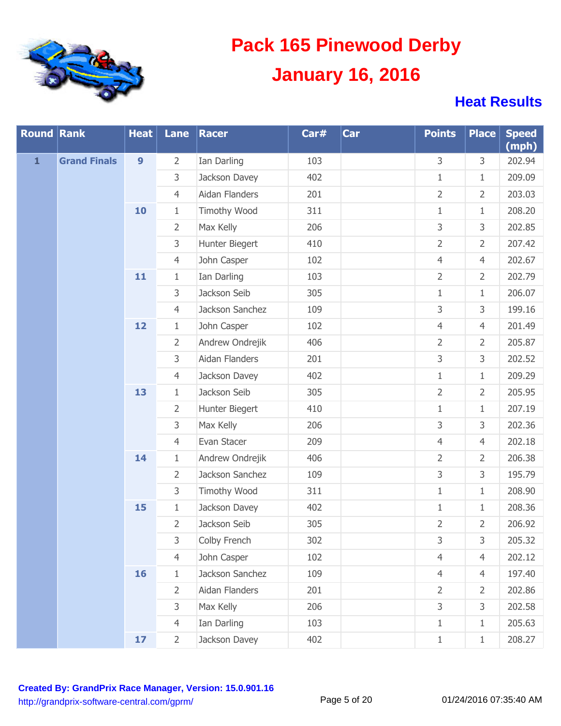

| <b>Round Rank</b> |                     | <b>Heat</b>      | Lane           | Racer           | Car# | Car   | <b>Points</b>  | <b>Place</b>   | <b>Speed</b><br>(mph) |
|-------------------|---------------------|------------------|----------------|-----------------|------|-------|----------------|----------------|-----------------------|
| $\mathbf{1}$      | <b>Grand Finals</b> | $\boldsymbol{9}$ | $\overline{2}$ | Ian Darling     | 103  |       | 3              | 3              | 202.94                |
|                   |                     |                  | 3              | Jackson Davey   | 402  |       | $\mathbf{1}$   | $\mathbf{1}$   | 209.09                |
|                   |                     |                  | $\overline{4}$ | Aidan Flanders  | 201  |       | $\overline{2}$ | $\overline{2}$ | 203.03                |
|                   |                     | 10               | $\mathbf{1}$   | Timothy Wood    | 311  |       | $\mathbf{1}$   | $\mathbf{1}$   | 208.20                |
|                   |                     |                  | $\overline{2}$ | Max Kelly       | 206  |       | 3              | 3              | 202.85                |
|                   |                     |                  | 3              | Hunter Biegert  | 410  |       | $\overline{2}$ | $\overline{2}$ | 207.42                |
|                   |                     |                  | $\overline{4}$ | John Casper     | 102  |       | $\overline{4}$ | $\overline{4}$ | 202.67                |
|                   |                     | 11               | $1\,$          | Ian Darling     | 103  |       | $\overline{2}$ | $\overline{2}$ | 202.79                |
|                   |                     |                  | 3              | Jackson Seib    | 305  |       | $\mathbf{1}$   | $\mathbf{1}$   | 206.07                |
|                   |                     |                  | $\overline{4}$ | Jackson Sanchez | 109  |       | 3              | 3              | 199.16                |
|                   |                     | 12               | $1\,$          | John Casper     | 102  |       | $\overline{4}$ | $\overline{4}$ | 201.49                |
|                   |                     |                  | $\overline{2}$ | Andrew Ondrejik | 406  |       | $\overline{2}$ | $\overline{2}$ | 205.87                |
|                   |                     |                  | 3              | Aidan Flanders  | 201  |       | 3              | 3              | 202.52                |
|                   |                     |                  | $\overline{4}$ | Jackson Davey   | 402  |       | $\mathbf{1}$   | $\mathbf{1}$   | 209.29                |
|                   |                     | 13               | $1\,$          | Jackson Seib    | 305  |       | $\overline{2}$ | $\overline{2}$ | 205.95                |
|                   |                     |                  | $\overline{2}$ | Hunter Biegert  | 410  |       | $\mathbf{1}$   | $\mathbf{1}$   | 207.19                |
|                   |                     |                  | 3              | Max Kelly       | 206  |       | 3              | 3              | 202.36                |
|                   |                     |                  | $\overline{4}$ | Evan Stacer     | 209  |       | $\overline{4}$ | $\overline{4}$ | 202.18                |
|                   |                     | 14               | $1\,$          | Andrew Ondrejik | 406  |       | $\overline{2}$ | $\overline{2}$ | 206.38                |
|                   |                     |                  | $\overline{2}$ | Jackson Sanchez | 109  |       | 3              | 3              | 195.79                |
|                   |                     |                  | 3              | Timothy Wood    | 311  |       | $\mathbf{1}$   | $\mathbf{1}$   | 208.90                |
|                   |                     | 15               | $1\,$          | Jackson Davey   | 402  |       | $\mathbf{1}$   | $\mathbf{1}$   | 208.36                |
|                   |                     |                  | $\overline{2}$ | Jackson Seib    | 305  |       | $\overline{2}$ | $\overline{2}$ | 206.92                |
|                   |                     |                  | 3              | Colby French    | 302  |       | 3              | 3              | 205.32                |
|                   |                     |                  | $\overline{4}$ | John Casper     | 102  |       | $\overline{4}$ | $\overline{4}$ | 202.12                |
|                   |                     | 16               | $1\,$          | Jackson Sanchez | 109  |       | $\overline{4}$ | $\overline{4}$ | 197.40                |
|                   |                     |                  | $\overline{2}$ | Aidan Flanders  | 201  |       | $\overline{2}$ | $\overline{2}$ | 202.86                |
|                   |                     |                  | 3              | Max Kelly       | 206  |       | 3              | 3              | 202.58                |
|                   |                     |                  | $\overline{4}$ | Ian Darling     | 103  |       | $\mathbf{1}$   | $1\,$          | 205.63                |
|                   | 17 <sub>2</sub>     | $\overline{2}$   | Jackson Davey  | 402             |      | $1\,$ | $\mathbf{1}$   | 208.27         |                       |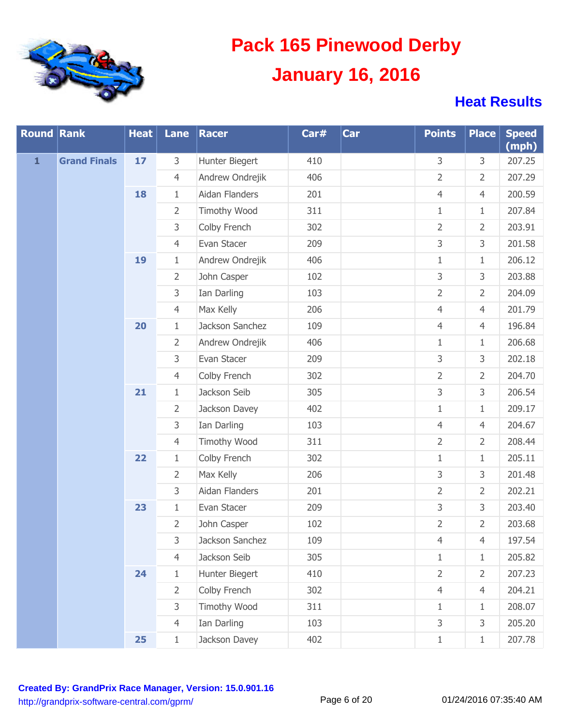

| <b>Round Rank</b> |                     | <b>Heat</b> | Lane           | Racer           | Car# | Car | <b>Points</b>  | <b>Place</b>   | <b>Speed</b><br>(mph) |
|-------------------|---------------------|-------------|----------------|-----------------|------|-----|----------------|----------------|-----------------------|
| $\mathbf{1}$      | <b>Grand Finals</b> | 17          | 3              | Hunter Biegert  | 410  |     | 3              | 3              | 207.25                |
|                   |                     |             | $\overline{4}$ | Andrew Ondrejik | 406  |     | 2              | $\overline{2}$ | 207.29                |
|                   |                     | 18          | $1\,$          | Aidan Flanders  | 201  |     | $\overline{4}$ | $\overline{4}$ | 200.59                |
|                   |                     |             | $\overline{2}$ | Timothy Wood    | 311  |     | $\mathbf{1}$   | $\mathbf{1}$   | 207.84                |
|                   |                     |             | 3              | Colby French    | 302  |     | $\overline{2}$ | 2              | 203.91                |
|                   |                     |             | $\overline{4}$ | Evan Stacer     | 209  |     | 3              | 3              | 201.58                |
|                   |                     | 19          | $1\,$          | Andrew Ondrejik | 406  |     | $\mathbf{1}$   | $\mathbf{1}$   | 206.12                |
|                   |                     |             | $\overline{2}$ | John Casper     | 102  |     | 3              | 3              | 203.88                |
|                   |                     |             | 3              | Ian Darling     | 103  |     | $\overline{2}$ | $\overline{2}$ | 204.09                |
|                   |                     |             | $\overline{4}$ | Max Kelly       | 206  |     | $\overline{4}$ | $\overline{4}$ | 201.79                |
|                   |                     | 20          | $1\,$          | Jackson Sanchez | 109  |     | $\overline{4}$ | $\overline{4}$ | 196.84                |
|                   |                     |             | $\overline{2}$ | Andrew Ondrejik | 406  |     | $\mathbf{1}$   | $\mathbf{1}$   | 206.68                |
|                   |                     |             | 3              | Evan Stacer     | 209  |     | 3              | 3              | 202.18                |
|                   |                     |             | $\overline{4}$ | Colby French    | 302  |     | $\overline{2}$ | $\overline{2}$ | 204.70                |
|                   |                     | 21          | $1\,$          | Jackson Seib    | 305  |     | 3              | 3              | 206.54                |
|                   |                     |             | $\overline{2}$ | Jackson Davey   | 402  |     | $\mathbf{1}$   | $\mathbf{1}$   | 209.17                |
|                   |                     |             | 3              | Ian Darling     | 103  |     | $\overline{4}$ | $\overline{4}$ | 204.67                |
|                   |                     |             | $\overline{4}$ | Timothy Wood    | 311  |     | $\overline{2}$ | $\overline{2}$ | 208.44                |
|                   |                     | 22          | $1\,$          | Colby French    | 302  |     | $\mathbf{1}$   | $\mathbf{1}$   | 205.11                |
|                   |                     |             | $\overline{2}$ | Max Kelly       | 206  |     | 3              | 3              | 201.48                |
|                   |                     |             | 3              | Aidan Flanders  | 201  |     | $\overline{2}$ | $\overline{2}$ | 202.21                |
|                   |                     | 23          | $1\,$          | Evan Stacer     | 209  |     | 3              | 3              | 203.40                |
|                   |                     |             | $\overline{2}$ | John Casper     | 102  |     | $\overline{2}$ | $\overline{2}$ | 203.68                |
|                   |                     |             | 3              | Jackson Sanchez | 109  |     | 4              | 4              | 197.54                |
|                   |                     |             | $\overline{4}$ | Jackson Seib    | 305  |     | $\mathbf{1}$   | $\mathbf{1}$   | 205.82                |
|                   |                     | 24          | $\mathbf{1}$   | Hunter Biegert  | 410  |     | $\overline{2}$ | $\overline{2}$ | 207.23                |
|                   |                     |             | $\overline{2}$ | Colby French    | 302  |     | $\overline{4}$ | $\overline{4}$ | 204.21                |
|                   |                     |             | 3              | Timothy Wood    | 311  |     | $\mathbf{1}$   | $\mathbf{1}$   | 208.07                |
|                   |                     |             | $\overline{4}$ | Ian Darling     | 103  |     | 3              | 3              | 205.20                |
|                   |                     | 25          | $1\,$          | Jackson Davey   | 402  |     | $1\,$          | $\mathbf{1}$   | 207.78                |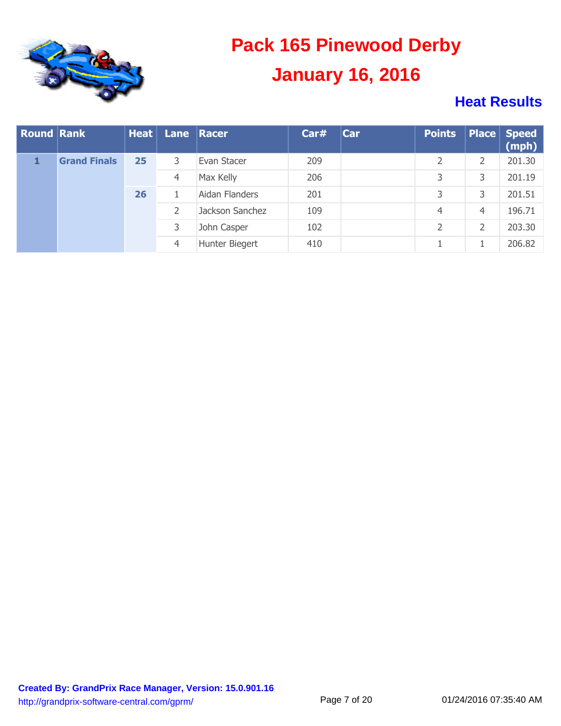

| <b>Round Rank</b> |                     | Heat |   | Lane Racer     | Car#           | <b>Car</b>      | <b>Points</b> |   | Place Speed<br>(mph) |   |        |
|-------------------|---------------------|------|---|----------------|----------------|-----------------|---------------|---|----------------------|---|--------|
|                   | <b>Grand Finals</b> | 25   | 3 | Evan Stacer    | 209            |                 |               | 2 | 201.30               |   |        |
|                   |                     |      | 4 | Max Kelly      | 206            |                 | 3             | 3 | 201.19               |   |        |
|                   |                     | 26   |   | Aidan Flanders | 201            |                 | 3             | 3 | 201.51               |   |        |
|                   |                     |      |   |                | $\overline{2}$ | Jackson Sanchez | 109           |   | 4                    | 4 | 196.71 |
|                   |                     |      | 3 | John Casper    | 102            |                 |               | 2 | 203.30               |   |        |
|                   |                     |      | 4 | Hunter Biegert | 410            |                 |               |   | 206.82               |   |        |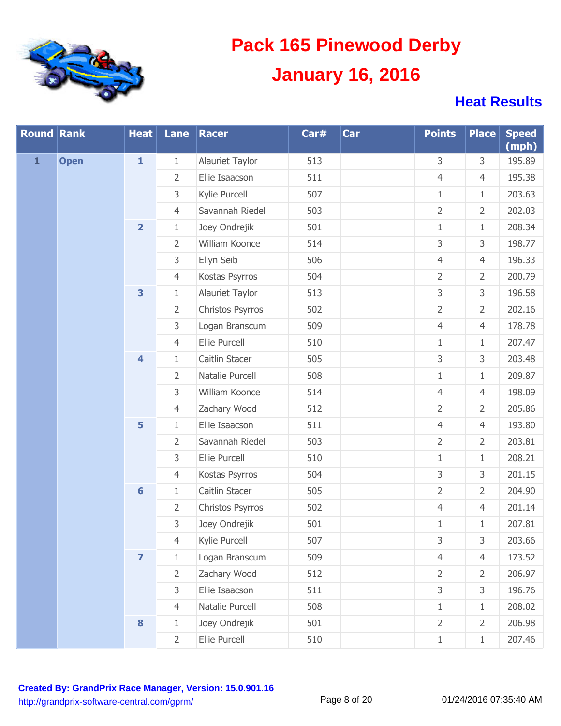

| <b>Round Rank</b> |             | <b>Heat</b>             | Lane           | Racer            | Car# | Car   | <b>Points</b>  | <b>Place</b>   | <b>Speed</b><br>(mph) |
|-------------------|-------------|-------------------------|----------------|------------------|------|-------|----------------|----------------|-----------------------|
| $\mathbf{1}$      | <b>Open</b> | $\mathbf{1}$            | $\mathbf{1}$   | Alauriet Taylor  | 513  |       | 3              | 3              | 195.89                |
|                   |             |                         | $\overline{2}$ | Ellie Isaacson   | 511  |       | $\overline{4}$ | $\overline{4}$ | 195.38                |
|                   |             |                         | 3              | Kylie Purcell    | 507  |       | $1\,$          | $1\,$          | 203.63                |
|                   |             |                         | $\overline{4}$ | Savannah Riedel  | 503  |       | $\overline{2}$ | $\overline{2}$ | 202.03                |
|                   |             | $\overline{\mathbf{2}}$ | $1\,$          | Joey Ondrejik    | 501  |       | $\,1\,$        | $1\,$          | 208.34                |
|                   |             |                         | $\overline{2}$ | William Koonce   | 514  |       | 3              | 3              | 198.77                |
|                   |             |                         | 3              | Ellyn Seib       | 506  |       | $\overline{4}$ | $\overline{4}$ | 196.33                |
|                   |             |                         | $\overline{4}$ | Kostas Psyrros   | 504  |       | $\overline{2}$ | $\overline{2}$ | 200.79                |
|                   |             | 3                       | $1\,$          | Alauriet Taylor  | 513  |       | 3              | 3              | 196.58                |
|                   |             |                         | $\overline{2}$ | Christos Psyrros | 502  |       | $\overline{2}$ | $\overline{2}$ | 202.16                |
|                   |             |                         | 3              | Logan Branscum   | 509  |       | $\overline{4}$ | $\overline{4}$ | 178.78                |
|                   |             |                         | $\overline{4}$ | Ellie Purcell    | 510  |       | $1\,$          | $1\,$          | 207.47                |
|                   |             | $\overline{\mathbf{4}}$ | $1\,$          | Caitlin Stacer   | 505  |       | 3              | 3              | 203.48                |
|                   |             |                         | $\overline{2}$ | Natalie Purcell  | 508  |       | $1\,$          | $1\,$          | 209.87                |
|                   |             |                         | 3              | William Koonce   | 514  |       | $\overline{4}$ | $\overline{4}$ | 198.09                |
|                   |             |                         | $\overline{4}$ | Zachary Wood     | 512  |       | $\overline{2}$ | $\overline{2}$ | 205.86                |
|                   |             | 5                       | $1\,$          | Ellie Isaacson   | 511  |       | $\overline{4}$ | $\overline{4}$ | 193.80                |
|                   |             |                         | $\overline{2}$ | Savannah Riedel  | 503  |       | $\overline{2}$ | $\overline{2}$ | 203.81                |
|                   |             |                         | 3              | Ellie Purcell    | 510  |       | $1\,$          | $1\,$          | 208.21                |
|                   |             |                         | $\overline{4}$ | Kostas Psyrros   | 504  |       | 3              | 3              | 201.15                |
|                   |             | $6\phantom{a}$          | $1\,$          | Caitlin Stacer   | 505  |       | $\overline{2}$ | $\overline{2}$ | 204.90                |
|                   |             |                         | $\overline{2}$ | Christos Psyrros | 502  |       | $\overline{4}$ | $\overline{4}$ | 201.14                |
|                   |             |                         | 3              | Joey Ondrejik    | 501  |       | $1\,$          | $1\,$          | 207.81                |
|                   |             |                         | 4              | Kylie Purcell    | 507  |       | 3              | 3              | 203.66                |
|                   |             | $\overline{\mathbf{z}}$ | $1\,$          | Logan Branscum   | 509  |       | $\overline{4}$ | $\overline{4}$ | 173.52                |
|                   |             |                         | $\overline{2}$ | Zachary Wood     | 512  |       | $\overline{2}$ | $\overline{2}$ | 206.97                |
|                   |             |                         | 3              | Ellie Isaacson   | 511  |       | 3              | 3              | 196.76                |
|                   |             |                         | $\overline{4}$ | Natalie Purcell  | 508  |       | $1\,$          | $1\,$          | 208.02                |
|                   |             | 8                       | $\mathbf{1}$   | Joey Ondrejik    | 501  |       | $\overline{2}$ | $\overline{2}$ | 206.98                |
|                   |             | $\overline{2}$          | Ellie Purcell  | 510              |      | $\,1$ | $1\,$          | 207.46         |                       |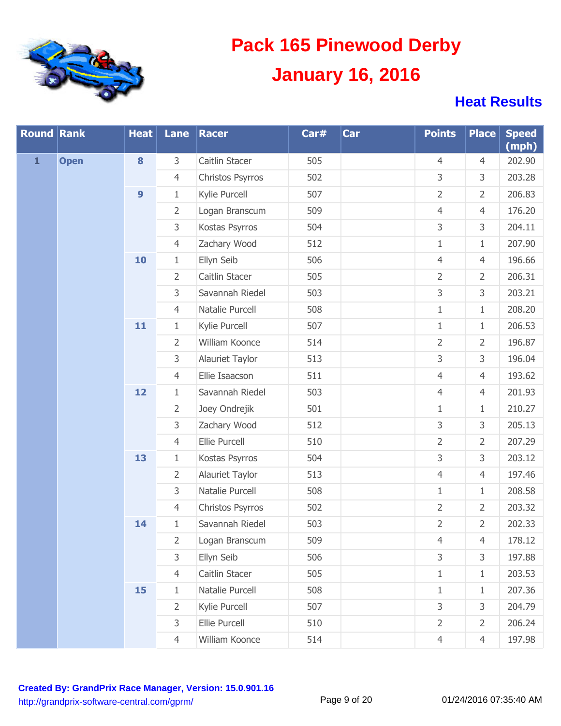

| <b>Round Rank</b> |             | <b>Heat</b>      | Lane           | Racer            | Car# | Car            | <b>Points</b>  | <b>Place</b>   | <b>Speed</b><br>(mph) |
|-------------------|-------------|------------------|----------------|------------------|------|----------------|----------------|----------------|-----------------------|
| $\mathbf{1}$      | <b>Open</b> | 8                | 3              | Caitlin Stacer   | 505  |                | $\overline{4}$ | $\overline{4}$ | 202.90                |
|                   |             |                  | $\overline{4}$ | Christos Psyrros | 502  |                | 3              | 3              | 203.28                |
|                   |             | $\boldsymbol{9}$ | $\mathbf{1}$   | Kylie Purcell    | 507  |                | $\overline{2}$ | $\overline{2}$ | 206.83                |
|                   |             |                  | $\overline{2}$ | Logan Branscum   | 509  |                | $\overline{4}$ | $\overline{4}$ | 176.20                |
|                   |             |                  | 3              | Kostas Psyrros   | 504  |                | 3              | 3              | 204.11                |
|                   |             |                  | $\overline{4}$ | Zachary Wood     | 512  |                | $\mathbf{1}$   | $\mathbf{1}$   | 207.90                |
|                   |             | 10               | $\mathbf{1}$   | Ellyn Seib       | 506  |                | $\overline{4}$ | $\overline{4}$ | 196.66                |
|                   |             |                  | $\overline{2}$ | Caitlin Stacer   | 505  |                | $\overline{2}$ | $\overline{2}$ | 206.31                |
|                   |             |                  | 3              | Savannah Riedel  | 503  |                | 3              | 3              | 203.21                |
|                   |             |                  | $\overline{4}$ | Natalie Purcell  | 508  |                | $\mathbf{1}$   | $\mathbf{1}$   | 208.20                |
|                   |             | 11               | $\mathbf{1}$   | Kylie Purcell    | 507  |                | $1\,$          | $\mathbf{1}$   | 206.53                |
|                   |             |                  | $\overline{2}$ | William Koonce   | 514  |                | $\overline{2}$ | $\overline{2}$ | 196.87                |
|                   |             |                  | 3              | Alauriet Taylor  | 513  |                | 3              | 3              | 196.04                |
|                   |             |                  | $\overline{4}$ | Ellie Isaacson   | 511  |                | $\overline{4}$ | $\overline{4}$ | 193.62                |
|                   |             | 12               | $\mathbf{1}$   | Savannah Riedel  | 503  |                | $\overline{4}$ | $\overline{4}$ | 201.93                |
|                   |             |                  | $\overline{2}$ | Joey Ondrejik    | 501  |                | $\mathbf{1}$   | $\mathbf{1}$   | 210.27                |
|                   |             |                  | 3              | Zachary Wood     | 512  |                | 3              | 3              | 205.13                |
|                   |             |                  | $\overline{4}$ | Ellie Purcell    | 510  |                | $\overline{2}$ | $\overline{2}$ | 207.29                |
|                   |             | 13               | $\mathbf{1}$   | Kostas Psyrros   | 504  |                | 3              | 3              | 203.12                |
|                   |             |                  | $\overline{2}$ | Alauriet Taylor  | 513  |                | $\overline{4}$ | $\overline{4}$ | 197.46                |
|                   |             |                  | $\mathsf{3}$   | Natalie Purcell  | 508  |                | $\mathbf{1}$   | $\mathbf{1}$   | 208.58                |
|                   |             |                  | $\overline{4}$ | Christos Psyrros | 502  |                | $\overline{2}$ | $\overline{2}$ | 203.32                |
|                   |             | 14               | $\mathbf{1}$   | Savannah Riedel  | 503  |                | $\overline{2}$ | $\overline{2}$ | 202.33                |
|                   |             |                  | 2              | Logan Branscum   | 509  |                | 4              | 4              | 178.12                |
|                   |             |                  | 3              | Ellyn Seib       | 506  |                | 3              | 3              | 197.88                |
|                   |             |                  | $\overline{4}$ | Caitlin Stacer   | 505  |                | $\mathbf{1}$   | $\mathbf{1}$   | 203.53                |
|                   |             | 15               | $\mathbf{1}$   | Natalie Purcell  | 508  |                | $\mathbf{1}$   | $\mathbf{1}$   | 207.36                |
|                   |             |                  | $\overline{2}$ | Kylie Purcell    | 507  |                | 3              | 3              | 204.79                |
|                   |             |                  | 3              | Ellie Purcell    | 510  |                | $\overline{2}$ | $\overline{2}$ | 206.24                |
|                   |             | $\overline{4}$   | William Koonce | 514              |      | $\overline{4}$ | $\overline{4}$ | 197.98         |                       |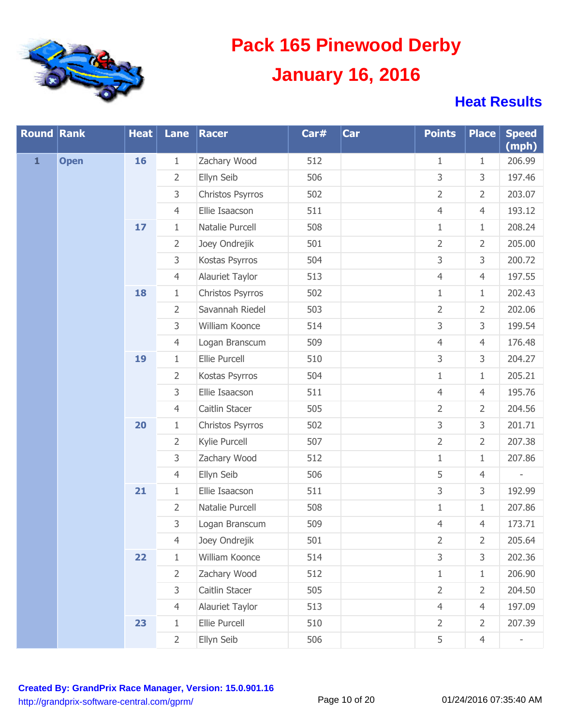

| <b>Round Rank</b> |             | <b>Heat</b> | Lane           | Racer            | Car# | Car | <b>Points</b>  | <b>Place</b>   | <b>Speed</b><br>(mph) |
|-------------------|-------------|-------------|----------------|------------------|------|-----|----------------|----------------|-----------------------|
| $\mathbf{1}$      | <b>Open</b> | 16          | 1              | Zachary Wood     | 512  |     | $\mathbf{1}$   | $\mathbf{1}$   | 206.99                |
|                   |             |             | $\overline{2}$ | Ellyn Seib       | 506  |     | 3              | 3              | 197.46                |
|                   |             |             | 3              | Christos Psyrros | 502  |     | $\overline{2}$ | $\overline{2}$ | 203.07                |
|                   |             |             | $\overline{4}$ | Ellie Isaacson   | 511  |     | $\overline{4}$ | $\overline{4}$ | 193.12                |
|                   |             | 17          | $\mathbf{1}$   | Natalie Purcell  | 508  |     | $\mathbf{1}$   | $1\,$          | 208.24                |
|                   |             |             | $\overline{2}$ | Joey Ondrejik    | 501  |     | $\overline{2}$ | $\overline{2}$ | 205.00                |
|                   |             |             | 3              | Kostas Psyrros   | 504  |     | 3              | 3              | 200.72                |
|                   |             |             | $\overline{4}$ | Alauriet Taylor  | 513  |     | $\overline{4}$ | $\overline{4}$ | 197.55                |
|                   |             | 18          | $\mathbf{1}$   | Christos Psyrros | 502  |     | $1\,$          | $1\,$          | 202.43                |
|                   |             |             | $\overline{2}$ | Savannah Riedel  | 503  |     | $\overline{2}$ | $\overline{2}$ | 202.06                |
|                   |             |             | 3              | William Koonce   | 514  |     | 3              | $\mathsf 3$    | 199.54                |
|                   |             |             | $\overline{4}$ | Logan Branscum   | 509  |     | $\overline{4}$ | $\overline{4}$ | 176.48                |
|                   |             | 19          | $\mathbf{1}$   | Ellie Purcell    | 510  |     | 3              | 3              | 204.27                |
|                   |             |             | $\overline{2}$ | Kostas Psyrros   | 504  |     | $1\,$          | $1\,$          | 205.21                |
|                   |             |             | 3              | Ellie Isaacson   | 511  |     | $\overline{4}$ | $\overline{4}$ | 195.76                |
|                   |             |             | $\overline{4}$ | Caitlin Stacer   | 505  |     | $\overline{2}$ | $\overline{2}$ | 204.56                |
|                   |             | 20          | $\mathbf{1}$   | Christos Psyrros | 502  |     | 3              | 3              | 201.71                |
|                   |             |             | $\overline{2}$ | Kylie Purcell    | 507  |     | $\overline{2}$ | $\overline{2}$ | 207.38                |
|                   |             |             | 3              | Zachary Wood     | 512  |     | $1\,$          | $\,1\,$        | 207.86                |
|                   |             |             | $\overline{4}$ | Ellyn Seib       | 506  |     | 5              | $\overline{4}$ |                       |
|                   |             | 21          | $\mathbf{1}$   | Ellie Isaacson   | 511  |     | 3              | 3              | 192.99                |
|                   |             |             | $\overline{2}$ | Natalie Purcell  | 508  |     | $1\,$          | $1\,$          | 207.86                |
|                   |             |             | 3              | Logan Branscum   | 509  |     | 4              | $\overline{4}$ | 173.71                |
|                   |             |             | 4              | Joey Ondrejik    | 501  |     | 2              | 2              | 205.64                |
|                   |             | 22          | $\mathbf{1}$   | William Koonce   | 514  |     | 3              | 3              | 202.36                |
|                   |             |             | $\overline{2}$ | Zachary Wood     | 512  |     | $1\,$          | $\mathbf{1}$   | 206.90                |
|                   |             |             | 3              | Caitlin Stacer   | 505  |     | $\overline{2}$ | $\overline{2}$ | 204.50                |
|                   |             |             | $\overline{4}$ | Alauriet Taylor  | 513  |     | $\overline{4}$ | $\overline{4}$ | 197.09                |
|                   |             | 23          | $\mathbf{1}$   | Ellie Purcell    | 510  |     | $\overline{2}$ | $\overline{2}$ | 207.39                |
|                   |             |             | $\overline{2}$ | Ellyn Seib       | 506  |     | 5              | $\overline{4}$ | -                     |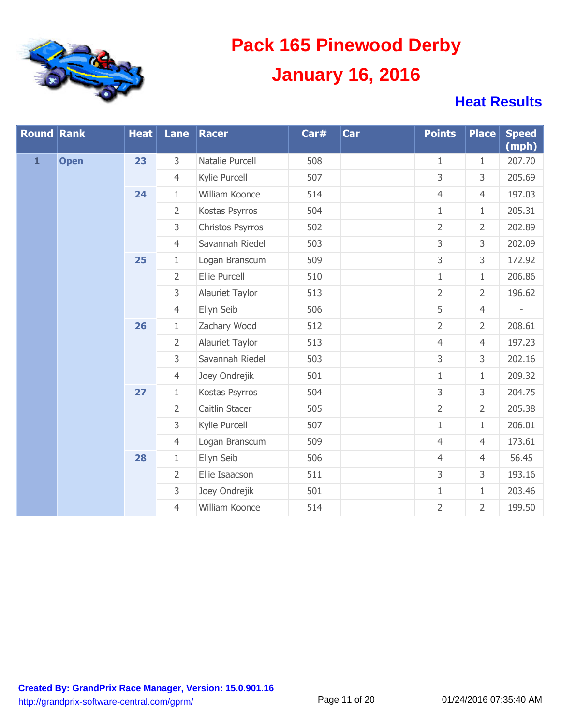

| <b>Round Rank</b> |             | <b>Heat</b> | Lane           | Racer            | Car# | Car | <b>Points</b>  | <b>Place</b>   | <b>Speed</b><br>(mph) |
|-------------------|-------------|-------------|----------------|------------------|------|-----|----------------|----------------|-----------------------|
| $\mathbf{1}$      | <b>Open</b> | 23          | 3              | Natalie Purcell  | 508  |     | $\mathbf{1}$   | $\mathbf{1}$   | 207.70                |
|                   |             |             | $\overline{4}$ | Kylie Purcell    | 507  |     | 3              | 3              | 205.69                |
|                   |             | 24          | $\mathbf{1}$   | William Koonce   | 514  |     | $\overline{4}$ | $\overline{4}$ | 197.03                |
|                   |             |             | $\overline{2}$ | Kostas Psyrros   | 504  |     | $\mathbf{1}$   | $\mathbf{1}$   | 205.31                |
|                   |             |             | 3              | Christos Psyrros | 502  |     | $\overline{2}$ | $\overline{2}$ | 202.89                |
|                   |             |             | $\overline{4}$ | Savannah Riedel  | 503  |     | 3              | 3              | 202.09                |
|                   |             | 25          | $\mathbf{1}$   | Logan Branscum   | 509  |     | 3              | 3              | 172.92                |
|                   |             |             | $\overline{2}$ | Ellie Purcell    | 510  |     | $\mathbf{1}$   | $\mathbf{1}$   | 206.86                |
|                   |             |             | 3              | Alauriet Taylor  | 513  |     | $\overline{2}$ | $\overline{2}$ | 196.62                |
|                   |             |             | $\overline{4}$ | Ellyn Seib       | 506  |     | 5              | $\overline{4}$ |                       |
|                   |             | 26          | $\mathbf{1}$   | Zachary Wood     | 512  |     | $\overline{2}$ | $\overline{2}$ | 208.61                |
|                   |             |             | $\overline{2}$ | Alauriet Taylor  | 513  |     | $\overline{4}$ | $\overline{4}$ | 197.23                |
|                   |             |             | 3              | Savannah Riedel  | 503  |     | 3              | 3              | 202.16                |
|                   |             |             | $\overline{4}$ | Joey Ondrejik    | 501  |     | $\mathbf{1}$   | $\mathbf{1}$   | 209.32                |
|                   |             | 27          | $\mathbf{1}$   | Kostas Psyrros   | 504  |     | $\overline{3}$ | 3              | 204.75                |
|                   |             |             | $\overline{2}$ | Caitlin Stacer   | 505  |     | $\overline{2}$ | $\overline{2}$ | 205.38                |
|                   |             |             | 3              | Kylie Purcell    | 507  |     | $\mathbf{1}$   | $\mathbf{1}$   | 206.01                |
|                   |             |             | $\overline{4}$ | Logan Branscum   | 509  |     | $\overline{4}$ | $\overline{4}$ | 173.61                |
|                   |             | 28          | $\mathbf{1}$   | Ellyn Seib       | 506  |     | $\overline{4}$ | $\overline{4}$ | 56.45                 |
|                   |             |             | $\overline{2}$ | Ellie Isaacson   | 511  |     | 3              | 3              | 193.16                |
|                   |             |             | 3              | Joey Ondrejik    | 501  |     | $1\,$          | $\mathbf{1}$   | 203.46                |
|                   |             |             | $\overline{4}$ | William Koonce   | 514  |     | $\overline{2}$ | $\overline{2}$ | 199.50                |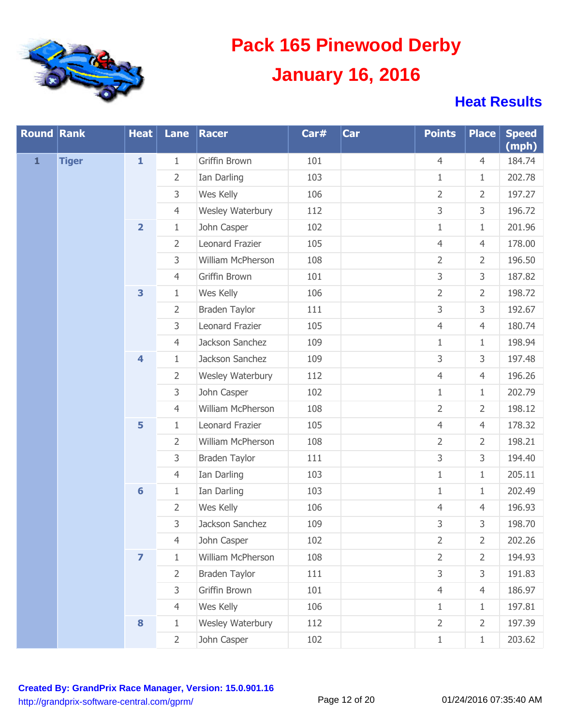

| <b>Round Rank</b> |              | <b>Heat</b>             | Lane           | Racer                | Car# | <b>Car</b> | <b>Points</b>  | <b>Place</b>   | <b>Speed</b><br>(mph) |
|-------------------|--------------|-------------------------|----------------|----------------------|------|------------|----------------|----------------|-----------------------|
| $\mathbf{1}$      | <b>Tiger</b> | $\mathbf{1}$            | $\mathbf{1}$   | Griffin Brown        | 101  |            | $\overline{4}$ | $\overline{4}$ | 184.74                |
|                   |              |                         | $\overline{2}$ | Ian Darling          | 103  |            | $\mathbf{1}$   | $\mathbf{1}$   | 202.78                |
|                   |              |                         | 3              | Wes Kelly            | 106  |            | $\overline{2}$ | $\overline{2}$ | 197.27                |
|                   |              |                         | $\overline{4}$ | Wesley Waterbury     | 112  |            | 3              | 3              | 196.72                |
|                   |              | $\overline{\mathbf{2}}$ | $1\,$          | John Casper          | 102  |            | $1\,$          | $\mathbf{1}$   | 201.96                |
|                   |              |                         | $\overline{2}$ | Leonard Frazier      | 105  |            | $\overline{4}$ | $\overline{4}$ | 178.00                |
|                   |              |                         | 3              | William McPherson    | 108  |            | $\overline{2}$ | $\overline{2}$ | 196.50                |
|                   |              |                         | $\overline{4}$ | Griffin Brown        | 101  |            | 3              | 3              | 187.82                |
|                   |              | $\overline{\mathbf{3}}$ | $\mathbf{1}$   | Wes Kelly            | 106  |            | $\overline{2}$ | $\overline{2}$ | 198.72                |
|                   |              |                         | $\overline{2}$ | Braden Taylor        | 111  |            | 3              | 3              | 192.67                |
|                   |              |                         | 3              | Leonard Frazier      | 105  |            | $\overline{4}$ | $\overline{4}$ | 180.74                |
|                   |              |                         | $\overline{4}$ | Jackson Sanchez      | 109  |            | $1\,$          | $\mathbf{1}$   | 198.94                |
|                   |              | $\overline{\mathbf{4}}$ | $\mathbf{1}$   | Jackson Sanchez      | 109  |            | 3              | 3              | 197.48                |
|                   |              |                         | $\overline{2}$ | Wesley Waterbury     | 112  |            | $\overline{4}$ | $\overline{4}$ | 196.26                |
|                   |              |                         | 3              | John Casper          | 102  |            | $\mathbf{1}$   | $\mathbf{1}$   | 202.79                |
|                   |              |                         | $\overline{4}$ | William McPherson    | 108  |            | $\overline{2}$ | $\overline{2}$ | 198.12                |
|                   |              | 5                       | $\mathbf{1}$   | Leonard Frazier      | 105  |            | $\overline{4}$ | $\overline{4}$ | 178.32                |
|                   |              |                         | $\overline{2}$ | William McPherson    | 108  |            | $\overline{2}$ | $\overline{2}$ | 198.21                |
|                   |              |                         | 3              | <b>Braden Taylor</b> | 111  |            | 3              | 3              | 194.40                |
|                   |              |                         | $\overline{4}$ | Ian Darling          | 103  |            | $1\,$          | $\mathbf{1}$   | 205.11                |
|                   |              | $6\phantom{1}6$         | $\mathbf{1}$   | Ian Darling          | 103  |            | $1\,$          | $\mathbf{1}$   | 202.49                |
|                   |              |                         | $\overline{2}$ | Wes Kelly            | 106  |            | $\overline{4}$ | $\overline{4}$ | 196.93                |
|                   |              |                         | 3              | Jackson Sanchez      | 109  |            | 3              | 3              | 198.70                |
|                   |              |                         | $\overline{4}$ | John Casper          | 102  |            | $\overline{2}$ | $\overline{2}$ | 202.26                |
|                   |              | $\overline{\mathbf{z}}$ | $\mathbf{1}$   | William McPherson    | 108  |            | $\overline{2}$ | $\overline{2}$ | 194.93                |
|                   |              |                         | $\overline{2}$ | <b>Braden Taylor</b> | 111  |            | 3              | 3              | 191.83                |
|                   |              |                         | 3              | Griffin Brown        | 101  |            | $\overline{4}$ | $\overline{4}$ | 186.97                |
|                   |              |                         | $\overline{4}$ | Wes Kelly            | 106  |            | $\mathbf{1}$   | $\mathbf{1}$   | 197.81                |
|                   |              | $\bf{8}$                | $\mathbf{1}$   | Wesley Waterbury     | 112  |            | $\overline{2}$ | $\overline{2}$ | 197.39                |
|                   |              | $\overline{2}$          | John Casper    | 102                  |      | $1\,$      | $\mathbf{1}$   | 203.62         |                       |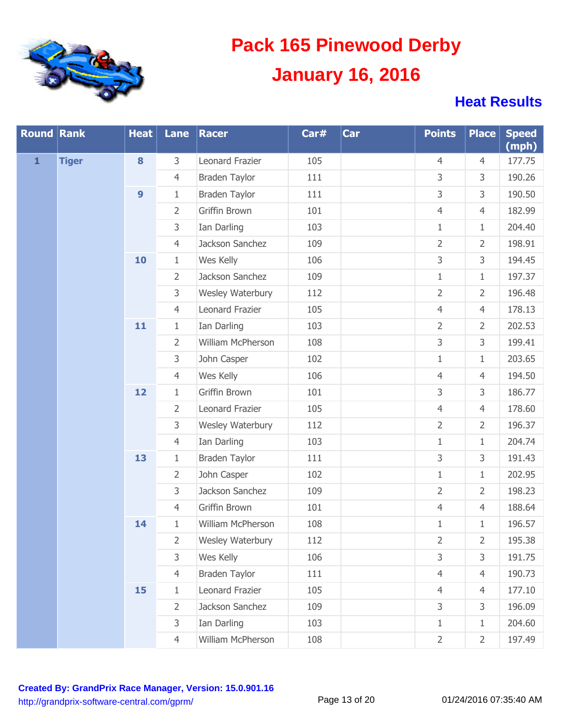

| <b>Round Rank</b> |              | <b>Heat</b>      | Lane           | <b>Racer</b>         | Car# | Car | <b>Points</b>  | <b>Place</b>   | <b>Speed</b><br>(mph) |
|-------------------|--------------|------------------|----------------|----------------------|------|-----|----------------|----------------|-----------------------|
| $\mathbf{1}$      | <b>Tiger</b> | 8                | 3              | Leonard Frazier      | 105  |     | 4              | $\overline{4}$ | 177.75                |
|                   |              |                  | $\overline{4}$ | <b>Braden Taylor</b> | 111  |     | 3              | 3              | 190.26                |
|                   |              | $\boldsymbol{9}$ | $\mathbf{1}$   | <b>Braden Taylor</b> | 111  |     | 3              | 3              | 190.50                |
|                   |              |                  | $\overline{2}$ | Griffin Brown        | 101  |     | $\overline{4}$ | $\overline{4}$ | 182.99                |
|                   |              |                  | 3              | Ian Darling          | 103  |     | $\mathbf{1}$   | $\mathbf{1}$   | 204.40                |
|                   |              |                  | $\overline{4}$ | Jackson Sanchez      | 109  |     | $\overline{2}$ | $\overline{2}$ | 198.91                |
|                   |              | 10               | $\mathbf{1}$   | Wes Kelly            | 106  |     | 3              | 3              | 194.45                |
|                   |              |                  | $\overline{2}$ | Jackson Sanchez      | 109  |     | $\mathbf{1}$   | $\mathbf{1}$   | 197.37                |
|                   |              |                  | 3              | Wesley Waterbury     | 112  |     | $\overline{2}$ | $\overline{2}$ | 196.48                |
|                   |              |                  | $\overline{4}$ | Leonard Frazier      | 105  |     | $\overline{4}$ | $\overline{4}$ | 178.13                |
|                   |              | 11               | $1\,$          | Ian Darling          | 103  |     | $\overline{2}$ | $\overline{2}$ | 202.53                |
|                   |              |                  | $\overline{2}$ | William McPherson    | 108  |     | 3              | 3              | 199.41                |
|                   |              |                  | 3              | John Casper          | 102  |     | $1\,$          | $\mathbf{1}$   | 203.65                |
|                   |              |                  | $\overline{4}$ | Wes Kelly            | 106  |     | $\overline{4}$ | $\overline{4}$ | 194.50                |
|                   |              | 12               | $1\,$          | Griffin Brown        | 101  |     | 3              | 3              | 186.77                |
|                   |              |                  | $\overline{2}$ | Leonard Frazier      | 105  |     | $\overline{4}$ | $\overline{4}$ | 178.60                |
|                   |              |                  | 3              | Wesley Waterbury     | 112  |     | $\overline{2}$ | $\overline{2}$ | 196.37                |
|                   |              |                  | $\overline{4}$ | Ian Darling          | 103  |     | $\mathbf{1}$   | $\mathbf{1}$   | 204.74                |
|                   |              | 13               | $1\,$          | <b>Braden Taylor</b> | 111  |     | 3              | 3              | 191.43                |
|                   |              |                  | $\overline{2}$ | John Casper          | 102  |     | $\mathbf{1}$   | $\mathbf{1}$   | 202.95                |
|                   |              |                  | 3              | Jackson Sanchez      | 109  |     | $\overline{2}$ | $\overline{2}$ | 198.23                |
|                   |              |                  | $\overline{4}$ | Griffin Brown        | 101  |     | $\overline{4}$ | $\overline{4}$ | 188.64                |
|                   |              | 14               | $\mathbf{1}$   | William McPherson    | 108  |     | $\mathbf{1}$   | $\mathbf{1}$   | 196.57                |
|                   |              |                  | 2              | Wesley Waterbury     | 112  |     | 2              | 2              | 195.38                |
|                   |              |                  | 3              | Wes Kelly            | 106  |     | 3              | 3              | 191.75                |
|                   |              |                  | $\overline{4}$ | <b>Braden Taylor</b> | 111  |     | $\overline{4}$ | $\overline{4}$ | 190.73                |
|                   |              | 15               | $\mathbf{1}$   | Leonard Frazier      | 105  |     | $\overline{4}$ | $\overline{4}$ | 177.10                |
|                   |              |                  | 2              | Jackson Sanchez      | 109  |     | 3              | 3              | 196.09                |
|                   |              |                  | 3              | Ian Darling          | 103  |     | $\mathbf{1}$   | $1\,$          | 204.60                |
|                   |              |                  | $\overline{4}$ | William McPherson    | 108  |     | $\overline{2}$ | $\overline{2}$ | 197.49                |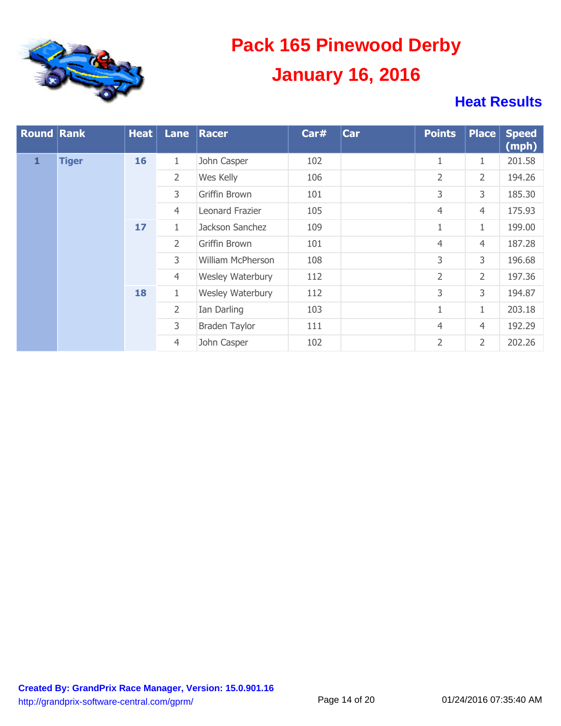

| <b>Round Rank</b> |              | <b>Heat</b> | <b>Lane</b>    | Racer             | Car# | <b>Car</b> | <b>Points</b>  | <b>Place</b>   | <b>Speed</b><br>(mph) |
|-------------------|--------------|-------------|----------------|-------------------|------|------------|----------------|----------------|-----------------------|
| $\mathbf{1}$      | <b>Tiger</b> | 16          | $\mathbf{1}$   | John Casper       | 102  |            | 1              | $\mathbf{1}$   | 201.58                |
|                   |              |             | $\overline{2}$ | Wes Kelly         | 106  |            | $\overline{2}$ | $\overline{2}$ | 194.26                |
|                   |              |             | 3              | Griffin Brown     | 101  |            | 3              | 3              | 185.30                |
|                   |              |             | $\overline{4}$ | Leonard Frazier   | 105  |            | $\overline{4}$ | $\overline{4}$ | 175.93                |
|                   |              | 17          | $\mathbf{1}$   | Jackson Sanchez   | 109  |            | $\mathbf{1}$   | $\mathbf{1}$   | 199.00                |
|                   |              |             | $\overline{2}$ | Griffin Brown     | 101  |            | $\overline{4}$ | $\overline{4}$ | 187.28                |
|                   |              |             | 3              | William McPherson | 108  |            | 3              | 3              | 196.68                |
|                   |              |             | $\overline{4}$ | Wesley Waterbury  | 112  |            | $\overline{2}$ | 2              | 197.36                |
|                   |              | 18          | $\mathbf{1}$   | Wesley Waterbury  | 112  |            | 3              | 3              | 194.87                |
|                   |              |             | $\overline{2}$ | Ian Darling       | 103  |            | $\mathbf{1}$   | $\mathbf{1}$   | 203.18                |
|                   |              |             | 3              | Braden Taylor     | 111  |            | $\overline{4}$ | $\overline{4}$ | 192.29                |
|                   |              |             | $\overline{4}$ | John Casper       | 102  |            | 2              | $\overline{2}$ | 202.26                |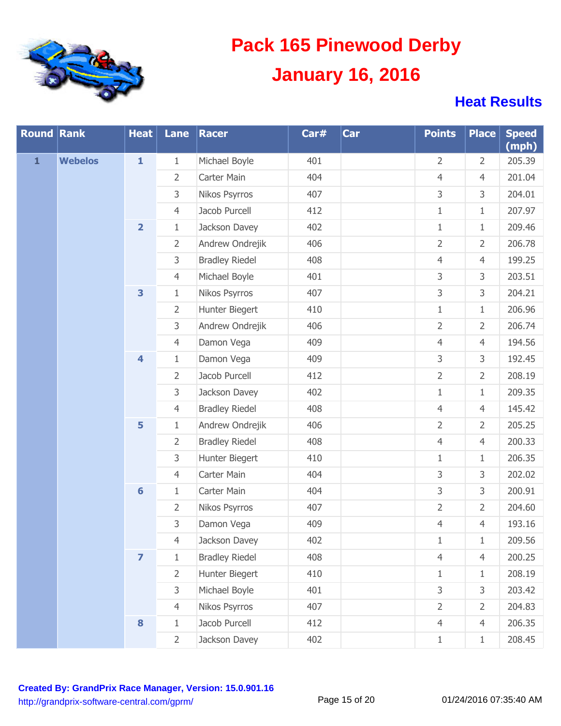

| <b>Round Rank</b> |                | <b>Heat</b>             | Lane           | Racer                 | Car# | Car | <b>Points</b>  | <b>Place</b>   | <b>Speed</b><br>(mph) |
|-------------------|----------------|-------------------------|----------------|-----------------------|------|-----|----------------|----------------|-----------------------|
| $\mathbf{1}$      | <b>Webelos</b> | $\mathbf{1}$            | 1              | Michael Boyle         | 401  |     | 2              | $\overline{2}$ | 205.39                |
|                   |                |                         | $\overline{2}$ | Carter Main           | 404  |     | $\overline{4}$ | $\overline{4}$ | 201.04                |
|                   |                |                         | 3              | Nikos Psyrros         | 407  |     | 3              | 3              | 204.01                |
|                   |                |                         | $\overline{4}$ | Jacob Purcell         | 412  |     | $\mathbf 1$    | $\mathbf{1}$   | 207.97                |
|                   |                | $\overline{\mathbf{2}}$ | $\mathbf{1}$   | Jackson Davey         | 402  |     | $\mathbf{1}$   | $1\,$          | 209.46                |
|                   |                |                         | 2              | Andrew Ondrejik       | 406  |     | $\overline{2}$ | $\overline{2}$ | 206.78                |
|                   |                |                         | 3              | <b>Bradley Riedel</b> | 408  |     | $\overline{4}$ | 4              | 199.25                |
|                   |                |                         | $\overline{4}$ | Michael Boyle         | 401  |     | 3              | 3              | 203.51                |
|                   |                | 3                       | $\mathbf{1}$   | Nikos Psyrros         | 407  |     | 3              | 3              | 204.21                |
|                   |                |                         | 2              | Hunter Biegert        | 410  |     | $\mathbf 1$    | $1\,$          | 206.96                |
|                   |                |                         | 3              | Andrew Ondrejik       | 406  |     | $\overline{2}$ | $\overline{2}$ | 206.74                |
|                   |                |                         | $\overline{4}$ | Damon Vega            | 409  |     | $\overline{4}$ | $\overline{4}$ | 194.56                |
|                   |                | $\overline{\mathbf{4}}$ | $\mathbf{1}$   | Damon Vega            | 409  |     | 3              | 3              | 192.45                |
|                   |                |                         | 2              | Jacob Purcell         | 412  |     | $\overline{2}$ | $\overline{2}$ | 208.19                |
|                   |                |                         | 3              | Jackson Davey         | 402  |     | $\mathbf{1}$   | $1\,$          | 209.35                |
|                   |                |                         | $\overline{4}$ | <b>Bradley Riedel</b> | 408  |     | $\overline{4}$ | $\overline{4}$ | 145.42                |
|                   |                | 5                       | $\mathbf{1}$   | Andrew Ondrejik       | 406  |     | $\overline{2}$ | $\overline{2}$ | 205.25                |
|                   |                |                         | 2              | <b>Bradley Riedel</b> | 408  |     | $\overline{4}$ | $\overline{4}$ | 200.33                |
|                   |                |                         | 3              | Hunter Biegert        | 410  |     | $\mathbf 1$    | $\mathbf{1}$   | 206.35                |
|                   |                |                         | $\overline{4}$ | Carter Main           | 404  |     | 3              | 3              | 202.02                |
|                   |                | $6\phantom{1}$          | $\mathbf{1}$   | Carter Main           | 404  |     | 3              | 3              | 200.91                |
|                   |                |                         | 2              | Nikos Psyrros         | 407  |     | $\overline{2}$ | $\overline{2}$ | 204.60                |
|                   |                |                         | 3              | Damon Vega            | 409  |     | $\overline{4}$ | 4              | 193.16                |
|                   |                |                         | 4              | Jackson Davey         | 402  |     | 1              | 1              | 209.56                |
|                   |                | $\overline{\mathbf{z}}$ | $\mathbf{1}$   | <b>Bradley Riedel</b> | 408  |     | $\overline{4}$ | $\overline{4}$ | 200.25                |
|                   |                |                         | $\overline{2}$ | Hunter Biegert        | 410  |     | 1              | $\mathbf{1}$   | 208.19                |
|                   |                |                         | 3              | Michael Boyle         | 401  |     | 3              | 3              | 203.42                |
|                   |                |                         | $\overline{4}$ | Nikos Psyrros         | 407  |     | $\overline{2}$ | $\overline{2}$ | 204.83                |
|                   |                | 8                       | $\mathbf{1}$   | Jacob Purcell         | 412  |     | $\overline{4}$ | $\overline{4}$ | 206.35                |
|                   |                |                         | $\overline{2}$ | Jackson Davey         | 402  |     | $1\,$          | $\mathbf{1}$   | 208.45                |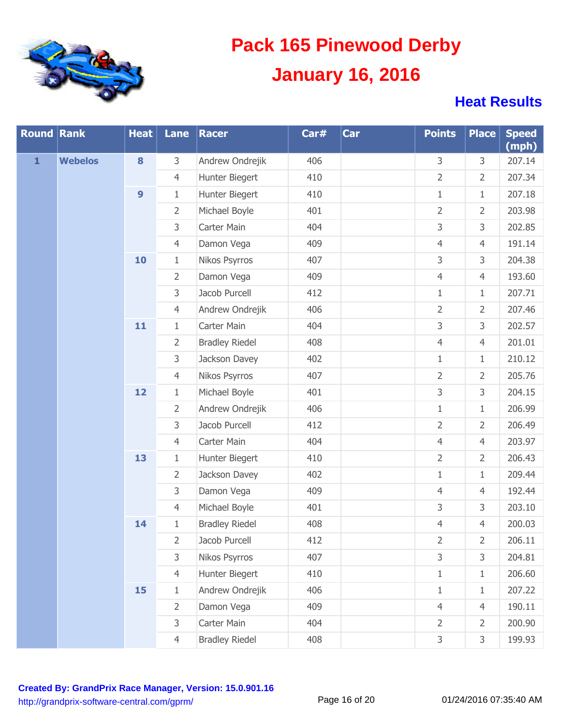

| <b>Round Rank</b> |                | <b>Heat</b>      | Lane           | Racer                 | Car# | Car | <b>Points</b>  | <b>Place</b>   | <b>Speed</b><br>(mph) |
|-------------------|----------------|------------------|----------------|-----------------------|------|-----|----------------|----------------|-----------------------|
| $\mathbf{1}$      | <b>Webelos</b> | 8                | 3              | Andrew Ondrejik       | 406  |     | 3              | 3              | 207.14                |
|                   |                |                  | $\overline{4}$ | Hunter Biegert        | 410  |     | $\overline{2}$ | $\overline{2}$ | 207.34                |
|                   |                | $\boldsymbol{9}$ | $\mathbf{1}$   | Hunter Biegert        | 410  |     | $1\,$          | $\mathbf{1}$   | 207.18                |
|                   |                |                  | $\overline{2}$ | Michael Boyle         | 401  |     | $\overline{2}$ | $\overline{2}$ | 203.98                |
|                   |                |                  | 3              | Carter Main           | 404  |     | 3              | 3              | 202.85                |
|                   |                |                  | $\overline{4}$ | Damon Vega            | 409  |     | $\overline{4}$ | $\overline{4}$ | 191.14                |
|                   |                | 10               | $\mathbf{1}$   | Nikos Psyrros         | 407  |     | 3              | 3              | 204.38                |
|                   |                |                  | $\overline{2}$ | Damon Vega            | 409  |     | $\overline{4}$ | $\overline{4}$ | 193.60                |
|                   |                |                  | 3              | Jacob Purcell         | 412  |     | $\mathbf{1}$   | $\mathbf{1}$   | 207.71                |
|                   |                |                  | $\overline{4}$ | Andrew Ondrejik       | 406  |     | $\overline{2}$ | $\overline{2}$ | 207.46                |
|                   |                | 11               | $\mathbf{1}$   | Carter Main           | 404  |     | 3              | 3              | 202.57                |
|                   |                |                  | $\overline{2}$ | <b>Bradley Riedel</b> | 408  |     | $\overline{4}$ | $\overline{4}$ | 201.01                |
|                   |                |                  | 3              | Jackson Davey         | 402  |     | $\mathbf{1}$   | $\mathbf{1}$   | 210.12                |
|                   |                |                  | $\overline{4}$ | Nikos Psyrros         | 407  |     | $\overline{2}$ | $\overline{2}$ | 205.76                |
|                   |                | 12               | $1\,$          | Michael Boyle         | 401  |     | 3              | 3              | 204.15                |
|                   |                |                  | $\overline{2}$ | Andrew Ondrejik       | 406  |     | $\mathbf 1$    | $\mathbf{1}$   | 206.99                |
|                   |                |                  | 3              | Jacob Purcell         | 412  |     | $\overline{2}$ | $\overline{2}$ | 206.49                |
|                   |                |                  | $\overline{4}$ | Carter Main           | 404  |     | $\overline{4}$ | $\overline{4}$ | 203.97                |
|                   |                | 13               | $1\,$          | Hunter Biegert        | 410  |     | $\overline{2}$ | $\overline{2}$ | 206.43                |
|                   |                |                  | $\overline{2}$ | Jackson Davey         | 402  |     | $\mathbf 1$    | $\mathbf{1}$   | 209.44                |
|                   |                |                  | 3              | Damon Vega            | 409  |     | $\overline{4}$ | $\overline{4}$ | 192.44                |
|                   |                |                  | $\overline{4}$ | Michael Boyle         | 401  |     | 3              | 3              | 203.10                |
|                   |                | 14               | $1\,$          | <b>Bradley Riedel</b> | 408  |     | $\overline{4}$ | $\overline{4}$ | 200.03                |
|                   |                |                  | 2              | Jacob Purcell         | 412  |     | 2              | 2              | 206.11                |
|                   |                |                  | 3              | Nikos Psyrros         | 407  |     | 3              | 3              | 204.81                |
|                   |                |                  | $\overline{4}$ | Hunter Biegert        | 410  |     | $\mathbf{1}$   | $\mathbf{1}$   | 206.60                |
|                   |                | 15               | $\mathbf{1}$   | Andrew Ondrejik       | 406  |     | 1              | $\mathbf{1}$   | 207.22                |
|                   |                |                  | $\overline{2}$ | Damon Vega            | 409  |     | $\overline{4}$ | $\overline{4}$ | 190.11                |
|                   |                |                  | 3              | Carter Main           | 404  |     | $\overline{2}$ | $\overline{2}$ | 200.90                |
|                   |                |                  | $\overline{4}$ | <b>Bradley Riedel</b> | 408  |     | 3              | 3              | 199.93                |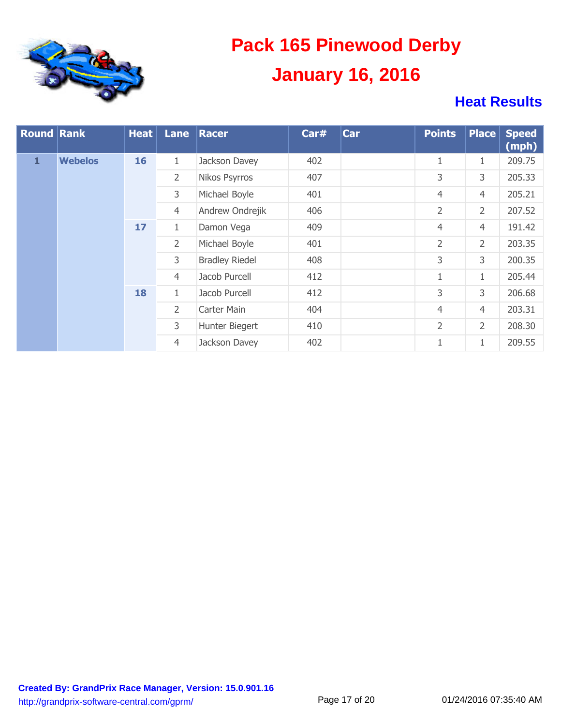

| <b>Round Rank</b> |                | <b>Heat</b> | Lane           | Racer                 | Car# | <b>Car</b> | <b>Points</b>  | <b>Place</b>   | <b>Speed</b><br>(mph) |
|-------------------|----------------|-------------|----------------|-----------------------|------|------------|----------------|----------------|-----------------------|
| $\mathbf{1}$      | <b>Webelos</b> | 16          | 1              | Jackson Davey         | 402  |            | $\mathbf{1}$   | $\mathbf{1}$   | 209.75                |
|                   |                |             | $\overline{2}$ | Nikos Psyrros         | 407  |            | 3              | 3              | 205.33                |
|                   |                |             | 3              | Michael Boyle         | 401  |            | 4              | $\overline{4}$ | 205.21                |
|                   |                |             | $\overline{4}$ | Andrew Ondrejik       | 406  |            | $\overline{2}$ | $\overline{2}$ | 207.52                |
|                   |                | 17          | $\mathbf{1}$   | Damon Vega            | 409  |            | 4              | $\overline{4}$ | 191.42                |
|                   |                |             | $\overline{2}$ | Michael Boyle         | 401  |            | $\overline{2}$ | $\overline{2}$ | 203.35                |
|                   |                |             | 3              | <b>Bradley Riedel</b> | 408  |            | 3              | 3              | 200.35                |
|                   |                |             | $\overline{4}$ | Jacob Purcell         | 412  |            | $\mathbf{1}$   | 1              | 205.44                |
|                   |                | 18          | $\mathbf{1}$   | Jacob Purcell         | 412  |            | 3              | 3              | 206.68                |
|                   |                |             | $\overline{2}$ | Carter Main           | 404  |            | $\overline{4}$ | $\overline{4}$ | 203.31                |
|                   |                |             | 3              | Hunter Biegert        | 410  |            | $\overline{2}$ | $\overline{2}$ | 208.30                |
|                   |                |             | $\overline{4}$ | Jackson Davey         | 402  |            | $\mathbf{1}$   | $\mathbf{1}$   | 209.55                |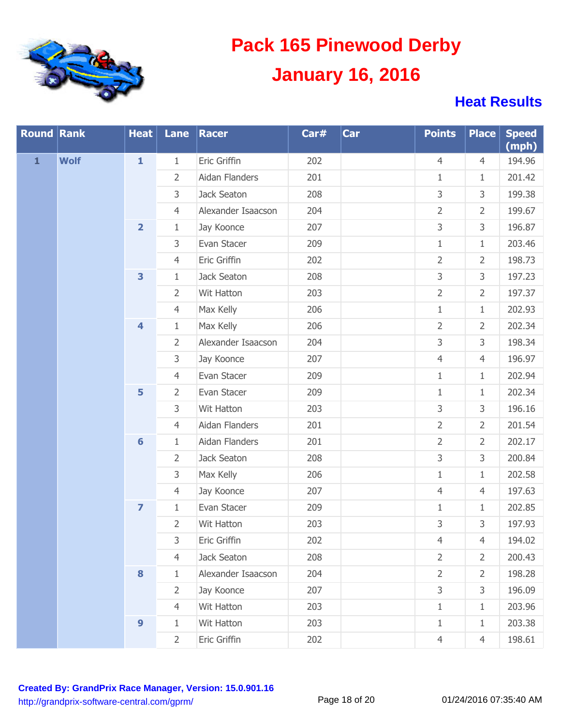

| <b>Round Rank</b> |             | <b>Heat</b>             | Lane           | Racer              | Car# | Car | <b>Points</b>  | <b>Place</b>   | <b>Speed</b><br>(mph) |
|-------------------|-------------|-------------------------|----------------|--------------------|------|-----|----------------|----------------|-----------------------|
| $\mathbf{1}$      | <b>Wolf</b> | $\mathbf{1}$            | $\mathbf{1}$   | Eric Griffin       | 202  |     | $\overline{4}$ | $\overline{4}$ | 194.96                |
|                   |             |                         | $\overline{2}$ | Aidan Flanders     | 201  |     | $\mathbf{1}$   | $\mathbf{1}$   | 201.42                |
|                   |             |                         | 3              | Jack Seaton        | 208  |     | 3              | 3              | 199.38                |
|                   |             |                         | $\overline{4}$ | Alexander Isaacson | 204  |     | $\overline{2}$ | $\overline{2}$ | 199.67                |
|                   |             | $\overline{\mathbf{2}}$ | $\mathbf{1}$   | Jay Koonce         | 207  |     | 3              | 3              | 196.87                |
|                   |             |                         | 3              | Evan Stacer        | 209  |     | $1\,$          | $1\,$          | 203.46                |
|                   |             |                         | $\overline{4}$ | Eric Griffin       | 202  |     | $\overline{2}$ | $\overline{2}$ | 198.73                |
|                   |             | 3                       | $\mathbf{1}$   | Jack Seaton        | 208  |     | 3              | 3              | 197.23                |
|                   |             |                         | $\overline{2}$ | Wit Hatton         | 203  |     | $\overline{2}$ | $\overline{2}$ | 197.37                |
|                   |             |                         | $\overline{4}$ | Max Kelly          | 206  |     | $1\,$          | $1\,$          | 202.93                |
|                   |             | $\overline{\mathbf{4}}$ | $\mathbf{1}$   | Max Kelly          | 206  |     | $\overline{2}$ | $\overline{2}$ | 202.34                |
|                   |             |                         | $\overline{2}$ | Alexander Isaacson | 204  |     | 3              | 3              | 198.34                |
|                   |             |                         | 3              | Jay Koonce         | 207  |     | $\overline{4}$ | $\overline{4}$ | 196.97                |
|                   |             |                         | $\overline{4}$ | Evan Stacer        | 209  |     | $\mathbf{1}$   | $1\,$          | 202.94                |
|                   |             | 5                       | $\overline{2}$ | Evan Stacer        | 209  |     | $\,1\,$        | $1\,$          | 202.34                |
|                   |             |                         | 3              | Wit Hatton         | 203  |     | 3              | 3              | 196.16                |
|                   |             |                         | $\overline{4}$ | Aidan Flanders     | 201  |     | $\overline{2}$ | $\overline{2}$ | 201.54                |
|                   |             | $6\phantom{1}6$         | $\mathbf{1}$   | Aidan Flanders     | 201  |     | $\overline{2}$ | $\overline{2}$ | 202.17                |
|                   |             |                         | $\overline{2}$ | Jack Seaton        | 208  |     | 3              | 3              | 200.84                |
|                   |             |                         | 3              | Max Kelly          | 206  |     | $1\,$          | $1\,$          | 202.58                |
|                   |             |                         | $\overline{4}$ | Jay Koonce         | 207  |     | $\overline{4}$ | $\overline{4}$ | 197.63                |
|                   |             | $\overline{z}$          | $\mathbf{1}$   | Evan Stacer        | 209  |     | $1\,$          | $\mathbf{1}$   | 202.85                |
|                   |             |                         | $\overline{2}$ | Wit Hatton         | 203  |     | 3              | 3              | 197.93                |
|                   |             |                         | 3              | Eric Griffin       | 202  |     | 4              | 4              | 194.02                |
|                   |             |                         | $\overline{4}$ | Jack Seaton        | 208  |     | $\overline{2}$ | $\overline{2}$ | 200.43                |
|                   |             | $\bf{8}$                | $\mathbf{1}$   | Alexander Isaacson | 204  |     | $\overline{2}$ | $\overline{2}$ | 198.28                |
|                   |             |                         | $\overline{2}$ | Jay Koonce         | 207  |     | 3              | 3              | 196.09                |
|                   |             |                         | $\overline{4}$ | Wit Hatton         | 203  |     | $\mathbf{1}$   | $\mathbf{1}$   | 203.96                |
|                   |             | $\boldsymbol{9}$        | $\mathbf{1}$   | Wit Hatton         | 203  |     | $\mathbf{1}$   | $1\,$          | 203.38                |
|                   |             |                         | $\overline{2}$ | Eric Griffin       | 202  |     | $\overline{4}$ | $\overline{4}$ | 198.61                |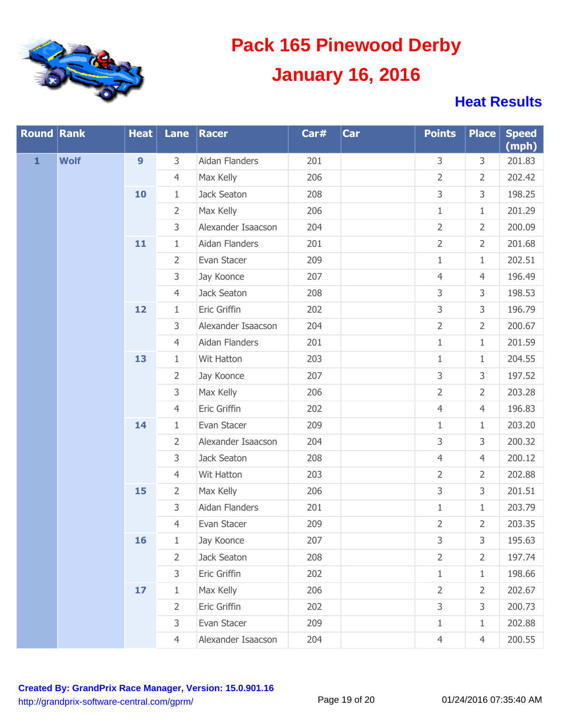

| <b>Round Rank</b> |             | <b>Heat</b>      |                | Lane   Racer       | Car# | Car | <b>Points</b>  | <b>Place</b>   | <b>Speed</b><br>(mph) |
|-------------------|-------------|------------------|----------------|--------------------|------|-----|----------------|----------------|-----------------------|
| $\mathbf{1}$      | <b>Wolf</b> | $\boldsymbol{9}$ | 3              | Aidan Flanders     | 201  |     | 3              | 3              | 201.83                |
|                   |             |                  | $\overline{4}$ | Max Kelly          | 206  |     | $\overline{2}$ | $\overline{2}$ | 202.42                |
|                   |             | 10               | $\mathbf{1}$   | Jack Seaton        | 208  |     | 3              | 3              | 198.25                |
|                   |             |                  | $\overline{2}$ | Max Kelly          | 206  |     | $1\,$          | $\mathbf{1}$   | 201.29                |
|                   |             |                  | 3              | Alexander Isaacson | 204  |     | $\overline{2}$ | $\overline{2}$ | 200.09                |
|                   |             | 11               | $\mathbf{1}$   | Aidan Flanders     | 201  |     | $\overline{2}$ | $\overline{2}$ | 201.68                |
|                   |             |                  | $\overline{2}$ | Evan Stacer        | 209  |     | $1\,$          | $\mathbf{1}$   | 202.51                |
|                   |             |                  | 3              | Jay Koonce         | 207  |     | $\overline{4}$ | $\overline{4}$ | 196.49                |
|                   |             |                  | $\overline{4}$ | Jack Seaton        | 208  |     | 3              | 3              | 198.53                |
|                   |             | 12               | $\mathbf{1}$   | Eric Griffin       | 202  |     | 3              | 3              | 196.79                |
|                   |             |                  | 3              | Alexander Isaacson | 204  |     | $\overline{2}$ | $\overline{2}$ | 200.67                |
|                   |             |                  | $\overline{4}$ | Aidan Flanders     | 201  |     | $1\,$          | $\mathbf{1}$   | 201.59                |
|                   |             | 13               | $\mathbf{1}$   | Wit Hatton         | 203  |     | $1\,$          | $\mathbf{1}$   | 204.55                |
|                   |             |                  | $\overline{2}$ | Jay Koonce         | 207  |     | 3              | 3              | 197.52                |
|                   |             |                  | $\mathsf{3}$   | Max Kelly          | 206  |     | $\overline{2}$ | $\overline{2}$ | 203.28                |
|                   |             |                  | $\overline{4}$ | Eric Griffin       | 202  |     | $\overline{4}$ | $\overline{4}$ | 196.83                |
|                   |             | 14               | $\mathbf{1}$   | Evan Stacer        | 209  |     | $\mathbf{1}$   | $\mathbf{1}$   | 203.20                |
|                   |             |                  | $\overline{2}$ | Alexander Isaacson | 204  |     | 3              | 3              | 200.32                |
|                   |             |                  | $\mathsf{3}$   | Jack Seaton        | 208  |     | $\overline{4}$ | $\overline{4}$ | 200.12                |
|                   |             |                  | $\overline{4}$ | Wit Hatton         | 203  |     | $\overline{2}$ | $\overline{2}$ | 202.88                |
|                   |             | 15               | $\overline{2}$ | Max Kelly          | 206  |     | 3              | 3              | 201.51                |
|                   |             |                  | $\mathsf{3}$   | Aidan Flanders     | 201  |     | $1\,$          | $1\,$          | 203.79                |
|                   |             |                  | $\overline{4}$ | Evan Stacer        | 209  |     | $\overline{2}$ | $\overline{2}$ | 203.35                |
|                   |             | 16               | 1              | Jay Koonce         | 207  |     | 3              | 3              | 195.63                |
|                   |             |                  | $\overline{2}$ | Jack Seaton        | 208  |     | $\overline{2}$ | $\overline{2}$ | 197.74                |
|                   |             |                  | 3              | Eric Griffin       | 202  |     | $\mathbf{1}$   | $\mathbf{1}$   | 198.66                |
|                   |             | 17               | $\mathbf{1}$   | Max Kelly          | 206  |     | $\overline{2}$ | $\overline{2}$ | 202.67                |
|                   |             |                  | $\overline{2}$ | Eric Griffin       | 202  |     | 3              | 3              | 200.73                |
|                   |             |                  | 3              | Evan Stacer        | 209  |     | $\mathbf{1}$   | $\mathbf{1}$   | 202.88                |
|                   |             |                  | $\overline{4}$ | Alexander Isaacson | 204  |     | $\overline{4}$ | $\overline{4}$ | 200.55                |